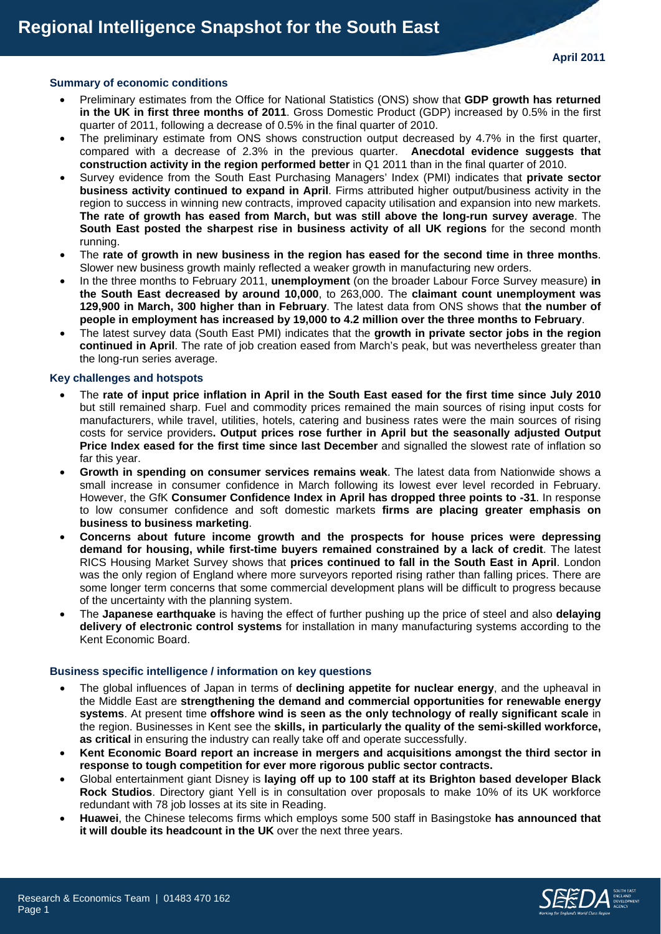## **Summary of economic conditions**

- Preliminary estimates from the Office for National Statistics (ONS) show that **GDP growth has returned in the UK in first three months of 2011**. Gross Domestic Product (GDP) increased by 0.5% in the first quarter of 2011, following a decrease of 0.5% in the final quarter of 2010.
- The preliminary estimate from ONS shows construction output decreased by 4.7% in the first quarter, compared with a decrease of 2.3% in the previous quarter. **Anecdotal evidence suggests that construction activity in the region performed better** in Q1 2011 than in the final quarter of 2010.
- Survey evidence from the South East Purchasing Managers' Index (PMI) indicates that **private sector business activity continued to expand in April**. Firms attributed higher output/business activity in the region to success in winning new contracts, improved capacity utilisation and expansion into new markets. **The rate of growth has eased from March, but was still above the long-run survey average**. The **South East posted the sharpest rise in business activity of all UK regions** for the second month running.
- The **rate of growth in new business in the region has eased for the second time in three months**. Slower new business growth mainly reflected a weaker growth in manufacturing new orders.
- In the three months to February 2011, **unemployment** (on the broader Labour Force Survey measure) **in the South East decreased by around 10,000**, to 263,000. The **claimant count unemployment was 129,900 in March, 300 higher than in February**. The latest data from ONS shows that **the number of people in employment has increased by 19,000 to 4.2 million over the three months to February**.
- The latest survey data (South East PMI) indicates that the **growth in private sector jobs in the region continued in April**. The rate of job creation eased from March's peak, but was nevertheless greater than the long-run series average.

## **Key challenges and hotspots**

- The **rate of input price inflation in April in the South East eased for the first time since July 2010** but still remained sharp. Fuel and commodity prices remained the main sources of rising input costs for manufacturers, while travel, utilities, hotels, catering and business rates were the main sources of rising costs for service providers**. Output prices rose further in April but the seasonally adjusted Output Price Index eased for the first time since last December** and signalled the slowest rate of inflation so far this year.
- **Growth in spending on consumer services remains weak**. The latest data from Nationwide shows a small increase in consumer confidence in March following its lowest ever level recorded in February. However, the GfK **Consumer Confidence Index in April has dropped three points to -31**. In response to low consumer confidence and soft domestic markets **firms are placing greater emphasis on business to business marketing**.
- **Concerns about future income growth and the prospects for house prices were depressing demand for housing, while first-time buyers remained constrained by a lack of credit**. The latest RICS Housing Market Survey shows that **prices continued to fall in the South East in April**. London was the only region of England where more surveyors reported rising rather than falling prices. There are some longer term concerns that some commercial development plans will be difficult to progress because of the uncertainty with the planning system.
- The **Japanese earthquake** is having the effect of further pushing up the price of steel and also **delaying delivery of electronic control systems** for installation in many manufacturing systems according to the Kent Economic Board.

## **Business specific intelligence / information on key questions**

- The global influences of Japan in terms of **declining appetite for nuclear energy**, and the upheaval in the Middle East are **strengthening the demand and commercial opportunities for renewable energy systems**. At present time **offshore wind is seen as the only technology of really significant scale** in the region. Businesses in Kent see the **skills, in particularly the quality of the semi-skilled workforce, as critical** in ensuring the industry can really take off and operate successfully.
- **Kent Economic Board report an increase in mergers and acquisitions amongst the third sector in response to tough competition for ever more rigorous public sector contracts.**
- Global entertainment giant Disney is **laying off up to 100 staff at its Brighton based developer Black Rock Studios**. Directory giant Yell is in consultation over proposals to make 10% of its UK workforce redundant with 78 job losses at its site in Reading.
- **Huawei**, the Chinese telecoms firms which employs some 500 staff in Basingstoke **has announced that it will double its headcount in the UK** over the next three years.

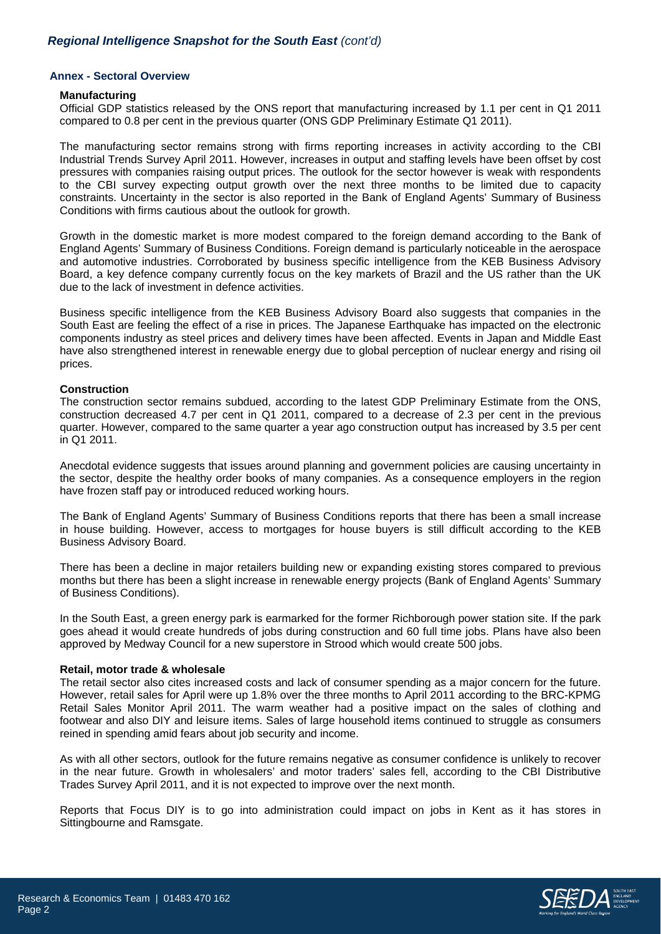# *Regional Intelligence Snapshot for the South East (cont'd)*

## **Annex - Sectoral Overview**

#### **Manufacturing**

Official GDP statistics released by the ONS report that manufacturing increased by 1.1 per cent in Q1 2011 compared to 0.8 per cent in the previous quarter (ONS GDP Preliminary Estimate Q1 2011).

The manufacturing sector remains strong with firms reporting increases in activity according to the CBI Industrial Trends Survey April 2011. However, increases in output and staffing levels have been offset by cost pressures with companies raising output prices. The outlook for the sector however is weak with respondents to the CBI survey expecting output growth over the next three months to be limited due to capacity constraints. Uncertainty in the sector is also reported in the Bank of England Agents' Summary of Business Conditions with firms cautious about the outlook for growth.

Growth in the domestic market is more modest compared to the foreign demand according to the Bank of England Agents' Summary of Business Conditions. Foreign demand is particularly noticeable in the aerospace and automotive industries. Corroborated by business specific intelligence from the KEB Business Advisory Board, a key defence company currently focus on the key markets of Brazil and the US rather than the UK due to the lack of investment in defence activities.

Business specific intelligence from the KEB Business Advisory Board also suggests that companies in the South East are feeling the effect of a rise in prices. The Japanese Earthquake has impacted on the electronic components industry as steel prices and delivery times have been affected. Events in Japan and Middle East have also strengthened interest in renewable energy due to global perception of nuclear energy and rising oil prices.

#### **Construction**

The construction sector remains subdued, according to the latest GDP Preliminary Estimate from the ONS, construction decreased 4.7 per cent in Q1 2011, compared to a decrease of 2.3 per cent in the previous quarter. However, compared to the same quarter a year ago construction output has increased by 3.5 per cent in Q1 2011.

Anecdotal evidence suggests that issues around planning and government policies are causing uncertainty in the sector, despite the healthy order books of many companies. As a consequence employers in the region have frozen staff pay or introduced reduced working hours.

The Bank of England Agents' Summary of Business Conditions reports that there has been a small increase in house building. However, access to mortgages for house buyers is still difficult according to the KEB Business Advisory Board.

There has been a decline in major retailers building new or expanding existing stores compared to previous months but there has been a slight increase in renewable energy projects (Bank of England Agents' Summary of Business Conditions).

In the South East, a green energy park is earmarked for the former Richborough power station site. If the park goes ahead it would create hundreds of jobs during construction and 60 full time jobs. Plans have also been approved by Medway Council for a new superstore in Strood which would create 500 jobs.

## **Retail, motor trade & wholesale**

The retail sector also cites increased costs and lack of consumer spending as a major concern for the future. However, retail sales for April were up 1.8% over the three months to April 2011 according to the BRC-KPMG Retail Sales Monitor April 2011. The warm weather had a positive impact on the sales of clothing and footwear and also DIY and leisure items. Sales of large household items continued to struggle as consumers reined in spending amid fears about job security and income.

As with all other sectors, outlook for the future remains negative as consumer confidence is unlikely to recover in the near future. Growth in wholesalers' and motor traders' sales fell, according to the CBI Distributive Trades Survey April 2011, and it is not expected to improve over the next month.

Reports that Focus DIY is to go into administration could impact on jobs in Kent as it has stores in Sittingbourne and Ramsgate.

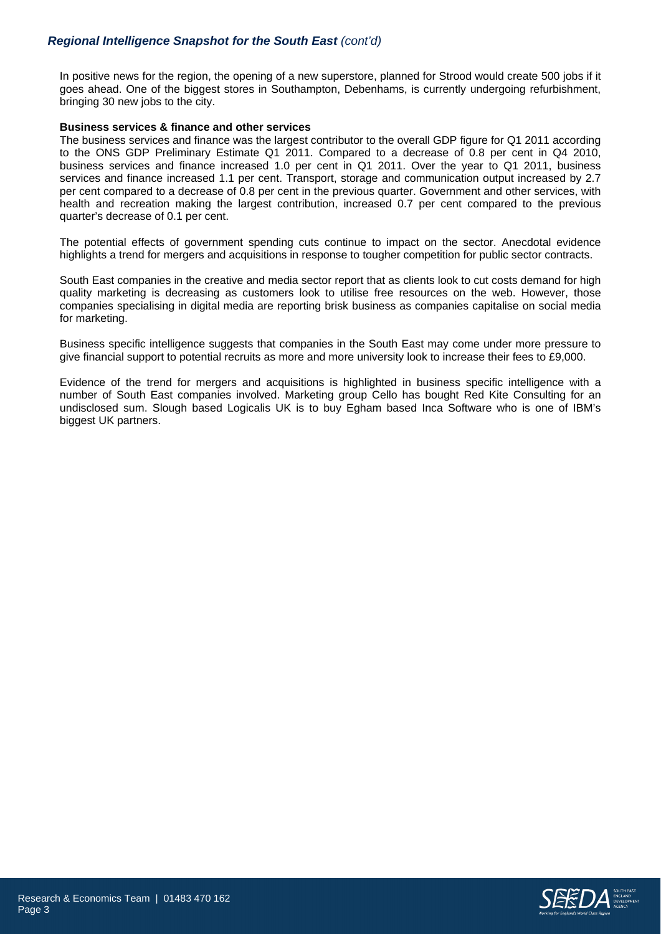# *Regional Intelligence Snapshot for the South East (cont'd)*

In positive news for the region, the opening of a new superstore, planned for Strood would create 500 jobs if it goes ahead. One of the biggest stores in Southampton, Debenhams, is currently undergoing refurbishment, bringing 30 new jobs to the city.

## **Business services & finance and other services**

The business services and finance was the largest contributor to the overall GDP figure for Q1 2011 according to the ONS GDP Preliminary Estimate Q1 2011. Compared to a decrease of 0.8 per cent in Q4 2010, business services and finance increased 1.0 per cent in Q1 2011. Over the year to Q1 2011, business services and finance increased 1.1 per cent. Transport, storage and communication output increased by 2.7 per cent compared to a decrease of 0.8 per cent in the previous quarter. Government and other services, with health and recreation making the largest contribution, increased 0.7 per cent compared to the previous quarter's decrease of 0.1 per cent.

The potential effects of government spending cuts continue to impact on the sector. Anecdotal evidence highlights a trend for mergers and acquisitions in response to tougher competition for public sector contracts.

South East companies in the creative and media sector report that as clients look to cut costs demand for high quality marketing is decreasing as customers look to utilise free resources on the web. However, those companies specialising in digital media are reporting brisk business as companies capitalise on social media for marketing.

Business specific intelligence suggests that companies in the South East may come under more pressure to give financial support to potential recruits as more and more university look to increase their fees to £9,000.

Evidence of the trend for mergers and acquisitions is highlighted in business specific intelligence with a number of South East companies involved. Marketing group Cello has bought Red Kite Consulting for an undisclosed sum. Slough based Logicalis UK is to buy Egham based Inca Software who is one of IBM's biggest UK partners.